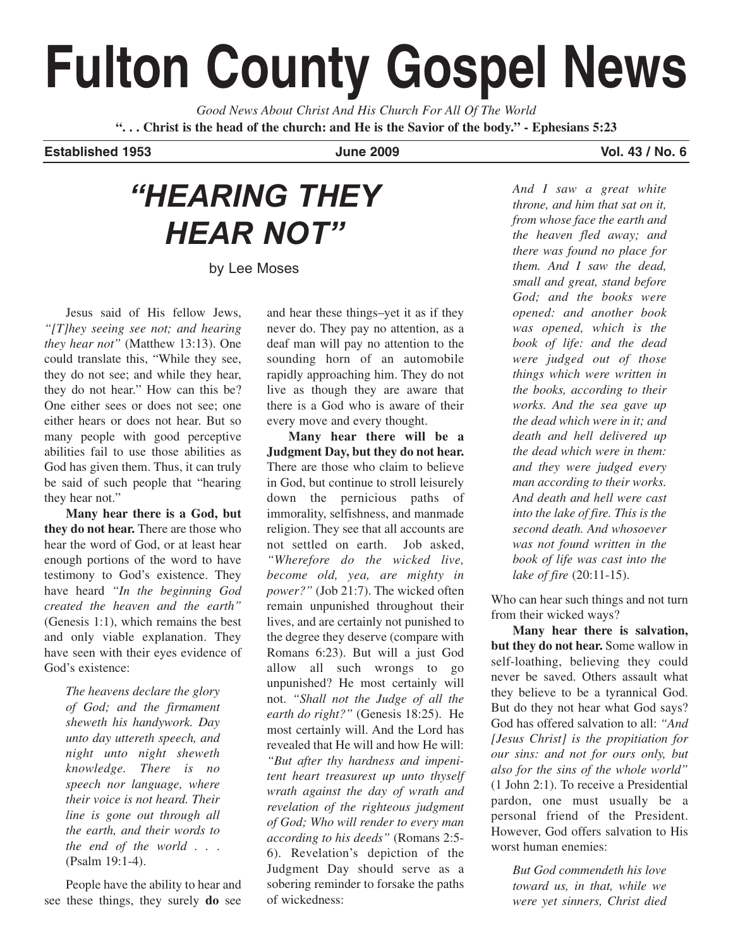# **Fulton County Gospel News**

*Good News About Christ And His Church For All Of The World* **". . . Christ is the head of the church: and He is the Savior of the body." - Ephesians 5:23**

**Established 1953 June 2009 Vol. 43 / No. 6**

# *"HEARING THEY HEAR NOT"*

by Lee Moses

Jesus said of His fellow Jews, *"[T]hey seeing see not; and hearing they hear not"* (Matthew 13:13). One could translate this, "While they see, they do not see; and while they hear, they do not hear." How can this be? One either sees or does not see; one either hears or does not hear. But so many people with good perceptive abilities fail to use those abilities as God has given them. Thus, it can truly be said of such people that "hearing they hear not."

**Many hear there is a God, but they do not hear.** There are those who hear the word of God, or at least hear enough portions of the word to have testimony to God's existence. They have heard *"In the beginning God created the heaven and the earth"* (Genesis 1:1), which remains the best and only viable explanation. They have seen with their eyes evidence of God's existence:

> *The heavens declare the glory of God; and the firmament sheweth his handywork. Day unto day uttereth speech, and night unto night sheweth knowledge. There is no speech nor language, where their voice is not heard. Their line is gone out through all the earth, and their words to the end of the world . .* . (Psalm 19:1-4).

People have the ability to hear and see these things, they surely **do** see and hear these things–yet it as if they never do. They pay no attention, as a deaf man will pay no attention to the sounding horn of an automobile rapidly approaching him. They do not live as though they are aware that there is a God who is aware of their every move and every thought.

**Many hear there will be a Judgment Day, but they do not hear.** There are those who claim to believe in God, but continue to stroll leisurely down the pernicious paths of immorality, selfishness, and manmade religion. They see that all accounts are not settled on earth. Job asked, *"Wherefore do the wicked live, become old, yea, are mighty in power?"* (Job 21:7). The wicked often remain unpunished throughout their lives, and are certainly not punished to the degree they deserve (compare with Romans 6:23). But will a just God allow all such wrongs to go unpunished? He most certainly will not. *"Shall not the Judge of all the earth do right?"* (Genesis 18:25). He most certainly will. And the Lord has revealed that He will and how He will: *"But after thy hardness and impenitent heart treasurest up unto thyself wrath against the day of wrath and revelation of the righteous judgment of God; Who will render to every man according to his deeds"* (Romans 2:5- 6). Revelation's depiction of the Judgment Day should serve as a sobering reminder to forsake the paths of wickedness:

*And I saw a great white throne, and him that sat on it, from whose face the earth and the heaven fled away; and there was found no place for them. And I saw the dead, small and great, stand before God; and the books were opened: and another book was opened, which is the book of life: and the dead were judged out of those things which were written in the books, according to their works. And the sea gave up the dead which were in it; and death and hell delivered up the dead which were in them: and they were judged every man according to their works. And death and hell were cast into the lake of fire. This is the second death. And whosoever was not found written in the book of life was cast into the lake of fire* (20:11-15).

Who can hear such things and not turn from their wicked ways?

**Many hear there is salvation, but they do not hear.** Some wallow in self-loathing, believing they could never be saved. Others assault what they believe to be a tyrannical God. But do they not hear what God says? God has offered salvation to all: *"And [Jesus Christ] is the propitiation for our sins: and not for ours only, but also for the sins of the whole world"* (1 John 2:1). To receive a Presidential pardon, one must usually be a personal friend of the President. However, God offers salvation to His worst human enemies:

> *But God commendeth his love toward us, in that, while we were yet sinners, Christ died*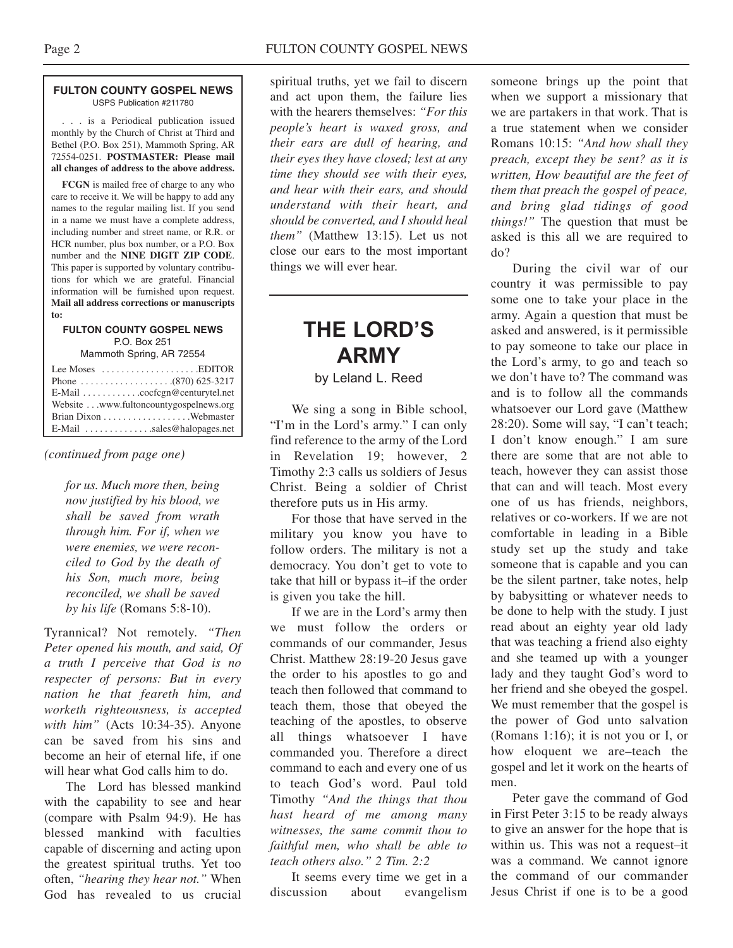#### **FULTON COUNTY GOSPEL NEWS** USPS Publication #211780

. . . is a Periodical publication issued monthly by the Church of Christ at Third and Bethel (P.O. Box 251), Mammoth Spring, AR 72554-0251. **POSTMASTER: Please mail all changes of address to the above address.**

**FCGN** is mailed free of charge to any who care to receive it. We will be happy to add any names to the regular mailing list. If you send in a name we must have a complete address, including number and street name, or R.R. or HCR number, plus box number, or a P.O. Box number and the **NINE DIGIT ZIP CODE**. This paper is supported by voluntary contributions for which we are grateful. Financial information will be furnished upon request. **Mail all address corrections or manuscripts to:**

#### **FULTON COUNTY GOSPEL NEWS** P.O. Box 251 Mammoth Spring, AR 72554

| Lee Moses $\dots \dots \dots \dots \dots$ . EDITOR          |
|-------------------------------------------------------------|
|                                                             |
| E-Mail $\ldots \ldots \ldots \ldots$ cocfcgn@centurytel.net |
| Website www.fultoncountygospelnews.org                      |
|                                                             |
| $E$ -Mail $\ldots$ sales@halopages.net                      |

*(continued from page one)*

*for us. Much more then, being now justified by his blood, we shall be saved from wrath through him. For if, when we were enemies, we were reconciled to God by the death of his Son, much more, being reconciled, we shall be saved by his life* (Romans 5:8-10).

Tyrannical? Not remotely. *"Then Peter opened his mouth, and said, Of a truth I perceive that God is no respecter of persons: But in every nation he that feareth him, and worketh righteousness, is accepted with him"* (Acts 10:34-35). Anyone can be saved from his sins and become an heir of eternal life, if one will hear what God calls him to do.

The Lord has blessed mankind with the capability to see and hear (compare with Psalm 94:9). He has blessed mankind with faculties capable of discerning and acting upon the greatest spiritual truths. Yet too often, *"hearing they hear not."* When God has revealed to us crucial spiritual truths, yet we fail to discern and act upon them, the failure lies with the hearers themselves: *"For this people's heart is waxed gross, and their ears are dull of hearing, and their eyes they have closed; lest at any time they should see with their eyes, and hear with their ears, and should understand with their heart, and should be converted, and I should heal them"* (Matthew 13:15). Let us not close our ears to the most important things we will ever hear.

# **THE LORD'S ARMY**

by Leland L. Reed

We sing a song in Bible school, "I'm in the Lord's army." I can only find reference to the army of the Lord in Revelation 19; however, 2 Timothy 2:3 calls us soldiers of Jesus Christ. Being a soldier of Christ therefore puts us in His army.

For those that have served in the military you know you have to follow orders. The military is not a democracy. You don't get to vote to take that hill or bypass it–if the order is given you take the hill.

If we are in the Lord's army then we must follow the orders or commands of our commander, Jesus Christ. Matthew 28:19-20 Jesus gave the order to his apostles to go and teach then followed that command to teach them, those that obeyed the teaching of the apostles, to observe all things whatsoever I have commanded you. Therefore a direct command to each and every one of us to teach God's word. Paul told Timothy *"And the things that thou hast heard of me among many witnesses, the same commit thou to faithful men, who shall be able to teach others also." 2 Tim. 2:2* 

It seems every time we get in a discussion about evangelism someone brings up the point that when we support a missionary that we are partakers in that work. That is a true statement when we consider Romans 10:15: *"And how shall they preach, except they be sent? as it is written, How beautiful are the feet of them that preach the gospel of peace, and bring glad tidings of good things!"* The question that must be asked is this all we are required to do?

During the civil war of our country it was permissible to pay some one to take your place in the army. Again a question that must be asked and answered, is it permissible to pay someone to take our place in the Lord's army, to go and teach so we don't have to? The command was and is to follow all the commands whatsoever our Lord gave (Matthew 28:20). Some will say, "I can't teach; I don't know enough." I am sure there are some that are not able to teach, however they can assist those that can and will teach. Most every one of us has friends, neighbors, relatives or co-workers. If we are not comfortable in leading in a Bible study set up the study and take someone that is capable and you can be the silent partner, take notes, help by babysitting or whatever needs to be done to help with the study. I just read about an eighty year old lady that was teaching a friend also eighty and she teamed up with a younger lady and they taught God's word to her friend and she obeyed the gospel. We must remember that the gospel is the power of God unto salvation (Romans 1:16); it is not you or I, or how eloquent we are–teach the gospel and let it work on the hearts of men.

Peter gave the command of God in First Peter 3:15 to be ready always to give an answer for the hope that is within us. This was not a request–it was a command. We cannot ignore the command of our commander Jesus Christ if one is to be a good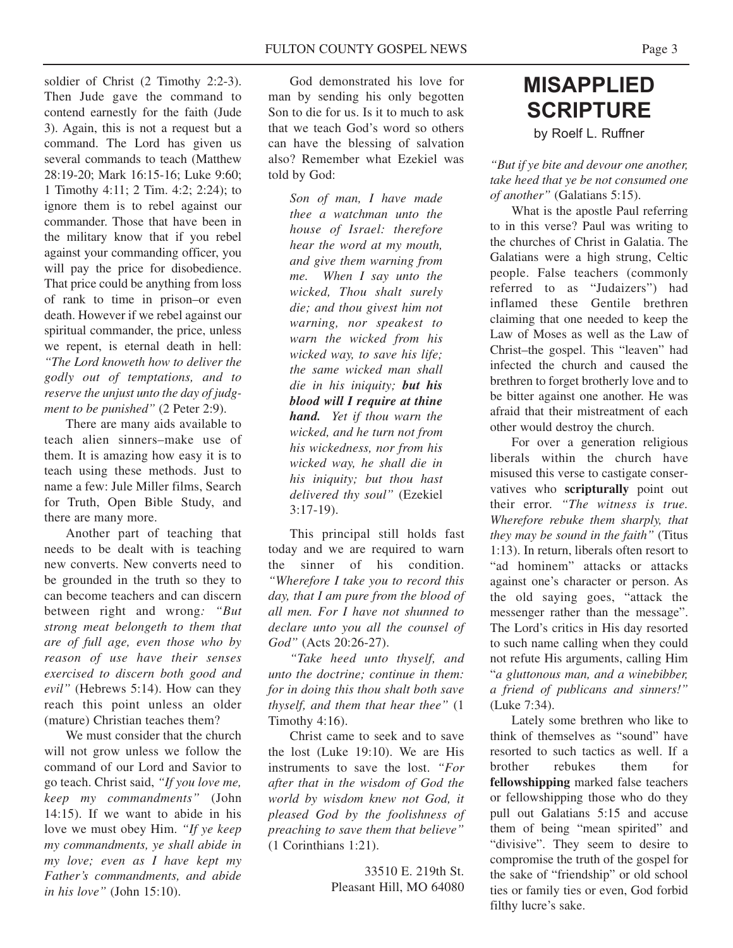soldier of Christ (2 Timothy 2:2-3). Then Jude gave the command to contend earnestly for the faith (Jude 3). Again, this is not a request but a command. The Lord has given us several commands to teach (Matthew 28:19-20; Mark 16:15-16; Luke 9:60; 1 Timothy 4:11; 2 Tim. 4:2; 2:24); to ignore them is to rebel against our commander. Those that have been in the military know that if you rebel against your commanding officer, you will pay the price for disobedience. That price could be anything from loss of rank to time in prison–or even death. However if we rebel against our spiritual commander, the price, unless we repent, is eternal death in hell: *"The Lord knoweth how to deliver the godly out of temptations, and to reserve the unjust unto the day of judgment to be punished"* (2 Peter 2:9).

There are many aids available to teach alien sinners–make use of them. It is amazing how easy it is to teach using these methods. Just to name a few: Jule Miller films, Search for Truth, Open Bible Study, and there are many more.

Another part of teaching that needs to be dealt with is teaching new converts. New converts need to be grounded in the truth so they to can become teachers and can discern between right and wrong*: "But strong meat belongeth to them that are of full age, even those who by reason of use have their senses exercised to discern both good and evil"* (Hebrews 5:14). How can they reach this point unless an older (mature) Christian teaches them?

We must consider that the church will not grow unless we follow the command of our Lord and Savior to go teach. Christ said, *"If you love me, keep my commandments"* (John 14:15). If we want to abide in his love we must obey Him. *"If ye keep my commandments, ye shall abide in my love; even as I have kept my Father's commandments, and abide in his love"* (John 15:10).

God demonstrated his love for man by sending his only begotten Son to die for us. Is it to much to ask that we teach God's word so others can have the blessing of salvation also? Remember what Ezekiel was told by God:

> *Son of man, I have made thee a watchman unto the house of Israel: therefore hear the word at my mouth, and give them warning from me. When I say unto the wicked, Thou shalt surely die; and thou givest him not warning, nor speakest to warn the wicked from his wicked way, to save his life; the same wicked man shall die in his iniquity; but his blood will I require at thine hand. Yet if thou warn the wicked, and he turn not from his wickedness, nor from his wicked way, he shall die in his iniquity; but thou hast delivered thy soul"* (Ezekiel 3:17-19).

This principal still holds fast today and we are required to warn the sinner of his condition. *"Wherefore I take you to record this day, that I am pure from the blood of all men. For I have not shunned to declare unto you all the counsel of God"* (Acts 20:26-27).

*"Take heed unto thyself, and unto the doctrine; continue in them: for in doing this thou shalt both save thyself, and them that hear thee"* (1 Timothy 4:16).

Christ came to seek and to save the lost (Luke 19:10). We are His instruments to save the lost. *"For after that in the wisdom of God the world by wisdom knew not God, it pleased God by the foolishness of preaching to save them that believe"* (1 Corinthians 1:21).

> 33510 E. 219th St. Pleasant Hill, MO 64080

# **MISAPPLIED SCRIPTURE** by Roelf L. Ruffner

*"But if ye bite and devour one another, take heed that ye be not consumed one of another"* (Galatians 5:15).

What is the apostle Paul referring to in this verse? Paul was writing to the churches of Christ in Galatia. The Galatians were a high strung, Celtic people. False teachers (commonly referred to as "Judaizers") had inflamed these Gentile brethren claiming that one needed to keep the Law of Moses as well as the Law of Christ–the gospel. This "leaven" had infected the church and caused the brethren to forget brotherly love and to be bitter against one another. He was afraid that their mistreatment of each other would destroy the church.

For over a generation religious liberals within the church have misused this verse to castigate conservatives who **scripturally** point out their error. *"The witness is true. Wherefore rebuke them sharply, that they may be sound in the faith"* (Titus 1:13). In return, liberals often resort to "ad hominem" attacks or attacks against one's character or person. As the old saying goes, "attack the messenger rather than the message". The Lord's critics in His day resorted to such name calling when they could not refute His arguments, calling Him "*a gluttonous man, and a winebibber, a friend of publicans and sinners!"* (Luke 7:34).

Lately some brethren who like to think of themselves as "sound" have resorted to such tactics as well. If a brother rebukes them for **fellowshipping** marked false teachers or fellowshipping those who do they pull out Galatians 5:15 and accuse them of being "mean spirited" and "divisive". They seem to desire to compromise the truth of the gospel for the sake of "friendship" or old school ties or family ties or even, God forbid filthy lucre's sake.